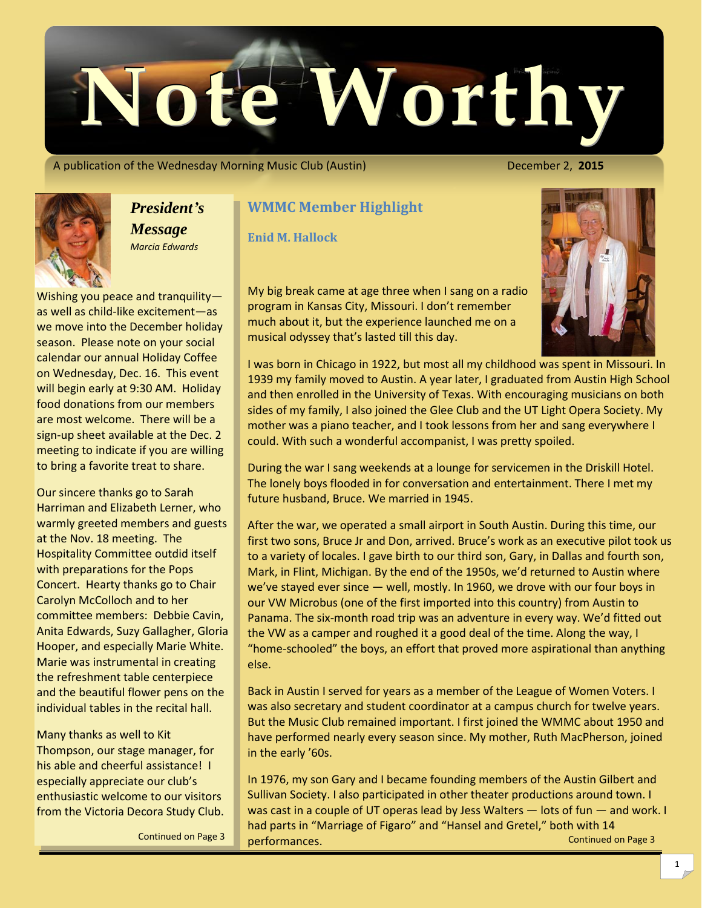

A publication of the Wednesday Morning Music Club (Austin) **December 2, 2015** 



*President's Message Marcia Edwards*

Wishing you peace and tranquility as well as child-like excitement—as we move into the December holiday season. Please note on your social calendar our annual Holiday Coffee on Wednesday, Dec. 16. This event will begin early at 9:30 AM. Holiday food donations from our members are most welcome. There will be a sign-up sheet available at the Dec. 2 meeting to indicate if you are willing to bring a favorite treat to share.

Our sincere thanks go to Sarah Harriman and Elizabeth Lerner, who warmly greeted members and guests at the Nov. 18 meeting. The Hospitality Committee outdid itself with preparations for the Pops Concert. Hearty thanks go to Chair Carolyn McColloch and to her committee members: Debbie Cavin, Anita Edwards, Suzy Gallagher, Gloria Hooper, and especially Marie White. Marie was instrumental in creating the refreshment table centerpiece and the beautiful flower pens on the individual tables in the recital hall.

Many thanks as well to Kit Thompson, our stage manager, for his able and cheerful assistance! I especially appreciate our club's enthusiastic welcome to our visitors from the Victoria Decora Study Club.

## **WMMC Member Highlight**

**Enid M. Hallock** 

My big break came at age three when I sang on a radio program in Kansas City, Missouri. I don't remember much about it, but the experience launched me on a musical odyssey that's lasted till this day.

I was born in Chicago in 1922, but most all my childhood was spent in Missouri. In 1939 my family moved to Austin. A year later, I graduated from Austin High School and then enrolled in the University of Texas. With encouraging musicians on both sides of my family, I also joined the Glee Club and the UT Light Opera Society. My mother was a piano teacher, and I took lessons from her and sang everywhere I could. With such a wonderful accompanist, I was pretty spoiled.

During the war I sang weekends at a lounge for servicemen in the Driskill Hotel. The lonely boys flooded in for conversation and entertainment. There I met my future husband, Bruce. We married in 1945.

After the war, we operated a small airport in South Austin. During this time, our first two sons, Bruce Jr and Don, arrived. Bruce's work as an executive pilot took us to a variety of locales. I gave birth to our third son, Gary, in Dallas and fourth son, Mark, in Flint, Michigan. By the end of the 1950s, we'd returned to Austin where we've stayed ever since — well, mostly. In 1960, we drove with our four boys in our VW Microbus (one of the first imported into this country) from Austin to Panama. The six-month road trip was an adventure in every way. We'd fitted out the VW as a camper and roughed it a good deal of the time. Along the way, I "home-schooled" the boys, an effort that proved more aspirational than anything else.

Back in Austin I served for years as a member of the League of Women Voters. I was also secretary and student coordinator at a campus church for twelve years. But the Music Club remained important. I first joined the WMMC about 1950 and have performed nearly every season since. My mother, Ruth MacPherson, joined in the early '60s.

Continued on Page 3 In 1976, my son Gary and I became founding members of the Austin Gilbert and Sullivan Society. I also participated in other theater productions around town. I was cast in a couple of UT operas lead by Jess Walters — lots of fun — and work. I had parts in "Marriage of Figaro" and "Hansel and Gretel," both with 14 Continued on Page 3 performances.

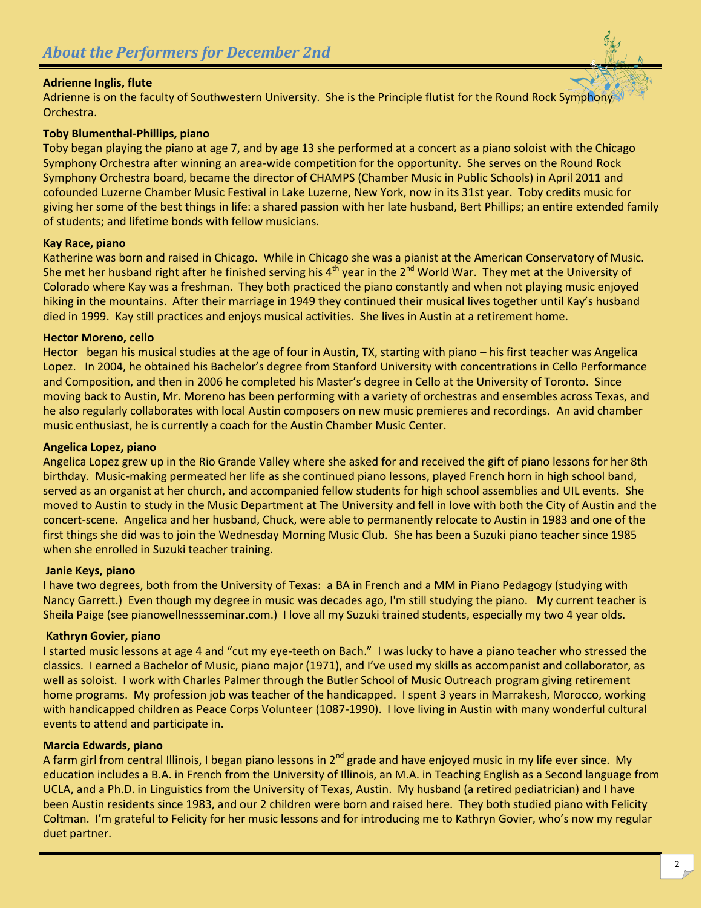### **Adrienne Inglis, flute**

Adrienne is on the faculty of Southwestern University. She is the Principle flutist for the Round Rock Symphony Orchestra.

#### **Toby Blumenthal-Phillips, piano**

Toby began playing the piano at age 7, and by age 13 she performed at a concert as a piano soloist with the Chicago Symphony Orchestra after winning an area-wide competition for the opportunity. She serves on the Round Rock Symphony Orchestra board, became the director of CHAMPS (Chamber Music in Public Schools) in April 2011 and cofounded Luzerne Chamber Music Festival in Lake Luzerne, New York, now in its 31st year. Toby credits music for giving her some of the best things in life: a shared passion with her late husband, Bert Phillips; an entire extended family of students; and lifetime bonds with fellow musicians.

#### **Kay Race, piano**

Katherine was born and raised in Chicago. While in Chicago she was a pianist at the American Conservatory of Music. She met her husband right after he finished serving his  $4^{th}$  year in the  $2^{nd}$  World War. They met at the University of Colorado where Kay was a freshman. They both practiced the piano constantly and when not playing music enjoyed hiking in the mountains. After their marriage in 1949 they continued their musical lives together until Kay's husband died in 1999. Kay still practices and enjoys musical activities. She lives in Austin at a retirement home.

#### **Hector Moreno, cello**

Hector began his musical studies at the age of four in Austin, TX, starting with piano – his first teacher was Angelica Lopez. In 2004, he obtained his Bachelor's degree from Stanford University with concentrations in Cello Performance and Composition, and then in 2006 he completed his Master's degree in Cello at the University of Toronto. Since moving back to Austin, Mr. Moreno has been performing with a variety of orchestras and ensembles across Texas, and he also regularly collaborates with local Austin composers on new music premieres and recordings. An avid chamber music enthusiast, he is currently a coach for the Austin Chamber Music Center.

#### **Angelica Lopez, piano**

Angelica Lopez grew up in the Rio Grande Valley where she asked for and received the gift of piano lessons for her 8th birthday. Music-making permeated her life as she continued piano lessons, played French horn in high school band, served as an organist at her church, and accompanied fellow students for high school assemblies and UIL events. She moved to Austin to study in the Music Department at The University and fell in love with both the City of Austin and the concert-scene. Angelica and her husband, Chuck, were able to permanently relocate to Austin in 1983 and one of the first things she did was to join the Wednesday Morning Music Club. She has been a Suzuki piano teacher since 1985 when she enrolled in Suzuki teacher training.

#### **Janie Keys, piano**

I have two degrees, both from the University of Texas: a BA in French and a MM in Piano Pedagogy (studying with Nancy Garrett.) Even though my degree in music was decades ago, I'm still studying the piano. My current teacher is Sheila Paige (see pianowellnessseminar.com.) I love all my Suzuki trained students, especially my two 4 year olds.

### **Kathryn Govier, piano**

I started music lessons at age 4 and "cut my eye-teeth on Bach." I was lucky to have a piano teacher who stressed the classics. I earned a Bachelor of Music, piano major (1971), and I've used my skills as accompanist and collaborator, as well as soloist. I work with Charles Palmer through the Butler School of Music Outreach program giving retirement home programs. My profession job was teacher of the handicapped. I spent 3 years in Marrakesh, Morocco, working with handicapped children as Peace Corps Volunteer (1087-1990). I love living in Austin with many wonderful cultural events to attend and participate in.

### **Marcia Edwards, piano**

A farm girl from central Illinois, I began piano lessons in  $2^{nd}$  grade and have enjoyed music in my life ever since. My education includes a B.A. in French from the University of Illinois, an M.A. in Teaching English as a Second language from UCLA, and a Ph.D. in Linguistics from the University of Texas, Austin. My husband (a retired pediatrician) and I have been Austin residents since 1983, and our 2 children were born and raised here. They both studied piano with Felicity Coltman. I'm grateful to Felicity for her music lessons and for introducing me to Kathryn Govier, who's now my regular duet partner.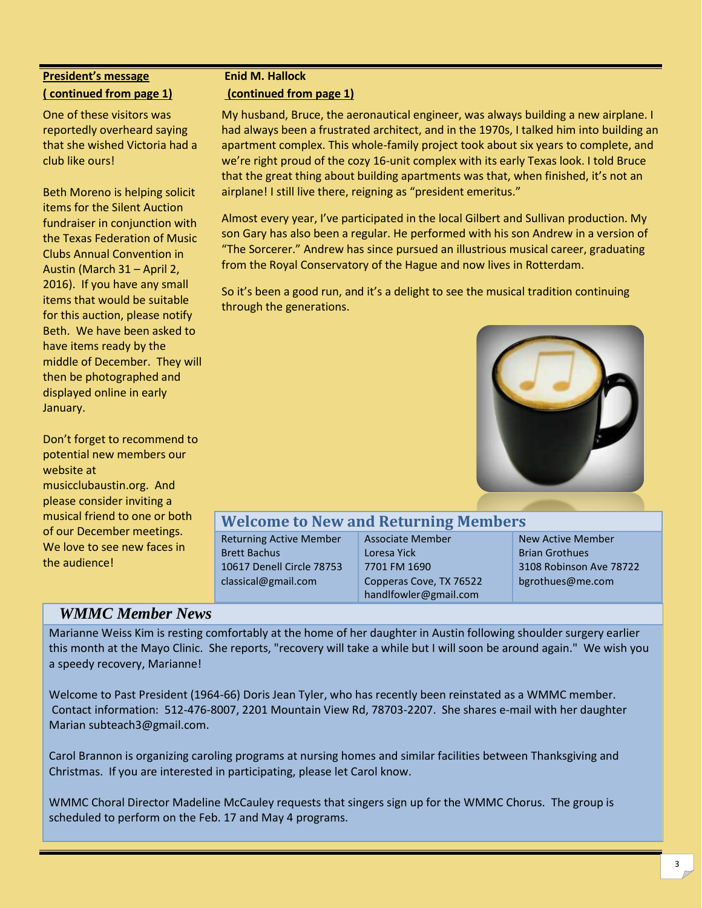# **President's message ( continued from page 1)**

One of these visitors was reportedly overheard saying that she wished Victoria had a club like ours!

Beth Moreno is helping solicit items for the Silent Auction fundraiser in conjunction with the Texas Federation of Music Clubs Annual Convention in Austin (March 31 – April 2, 2016). If you have any small items that would be suitable for this auction, please notify Beth. We have been asked to have items ready by the middle of December. They will then be photographed and displayed online in early January.

Don't forget to recommend to potential new members our website at musicclubaustin.org. And please consider inviting a musical friend to one or both of our December meetings. We love to see new faces in the audience!

## **Enid M. Hallock**

## **(continued from page 1)**

My husband, Bruce, the aeronautical engineer, was always building a new airplane. I had always been a frustrated architect, and in the 1970s, I talked him into building an apartment complex. This whole-family project took about six years to complete, and we're right proud of the cozy 16-unit complex with its early Texas look. I told Bruce that the great thing about building apartments was that, when finished, it's not an airplane! I still live there, reigning as "president emeritus."

Almost every year, I've participated in the local Gilbert and Sullivan production. My son Gary has also been a regular. He performed with his son Andrew in a version of "The Sorcerer." Andrew has since pursued an illustrious musical career, graduating from the Royal Conservatory of the Hague and now lives in Rotterdam.

So it's been a good run, and it's a delight to see the musical tradition continuing through the generations.



# **Welcome to New and Returning Members**

Returning Active Member Brett Bachus 10617 Denell Circle 78753 classical@gmail.com

Associate Member Loresa Yick 7701 FM 1690 Copperas Cove, TX 76522 [handlfowler@gmail.com](mailto:handlfowler@gmail.com)

New Active Member Brian Grothues 3108 Robinson Ave 78722 bgrothues@me.com

# *WMMC Member News*

Marianne Weiss Kim is resting comfortably at the home of her daughter in Austin following shoulder surgery earlier this month at the Mayo Clinic. She reports, "recovery will take a while but I will soon be around again." We wish you a speedy recovery, Marianne!

Welcome to Past President (1964-66) Doris Jean Tyler, who has recently been reinstated as a WMMC member. Contact information: 512-476-8007, 2201 Mountain View Rd, 78703-2207. She shares e-mail with her daughter Marian subteach3@gmail.com.

Carol Brannon is organizing caroling programs at nursing homes and similar facilities between Thanksgiving and Christmas. If you are interested in participating, please let Carol know.

WMMC Choral Director Madeline McCauley requests that singers sign up for the WMMC Chorus. The group is scheduled to perform on the Feb. 17 and May 4 programs.